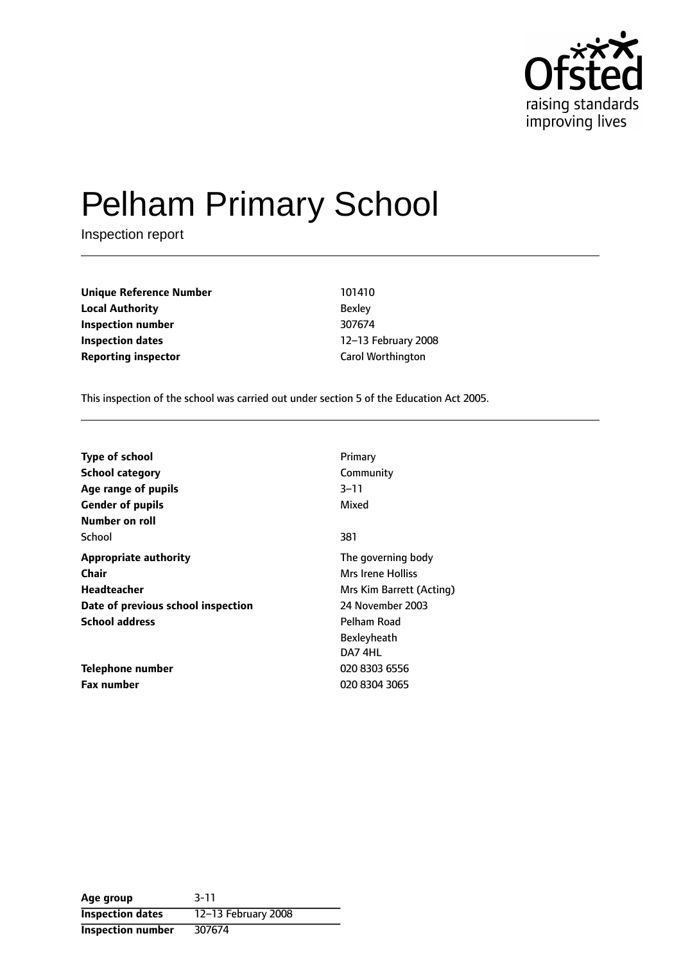

# Pelham Primary School

Inspection report

**Unique Reference Number** 101410 **Local Authority** Bexley **Inspection number** 307674 **Inspection dates** 12-13 February 2008 **Reporting inspector** Carol Worthington

This inspection of the school was carried out under section 5 of the Education Act 2005.

| <b>Type of school</b>              | Primary                  |
|------------------------------------|--------------------------|
| <b>School category</b>             | Community                |
| Age range of pupils                | 3–11                     |
| <b>Gender of pupils</b>            | Mixed                    |
| Number on roll                     |                          |
| School                             | 381                      |
| <b>Appropriate authority</b>       | The governing body       |
| Chair                              | <b>Mrs Irene Holliss</b> |
| <b>Headteacher</b>                 | Mrs Kim Barrett (Acting) |
| Date of previous school inspection | 24 November 2003         |
| <b>School address</b>              | Pelham Road              |
|                                    | Bexleyheath              |
|                                    | DA7 4HL                  |
| <b>Telephone number</b>            | 020 8303 6556            |
| <b>Fax number</b>                  | 020 8304 3065            |

**Age group** 3-11 **Inspection dates** 12-13 February 2008 **Inspection number** 307674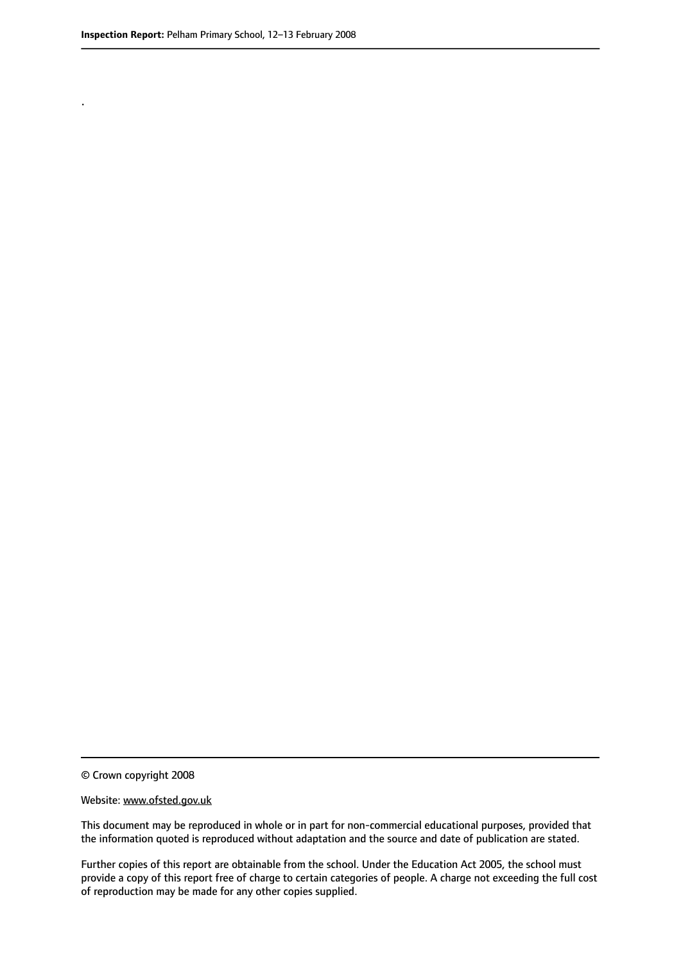.

© Crown copyright 2008

#### Website: www.ofsted.gov.uk

This document may be reproduced in whole or in part for non-commercial educational purposes, provided that the information quoted is reproduced without adaptation and the source and date of publication are stated.

Further copies of this report are obtainable from the school. Under the Education Act 2005, the school must provide a copy of this report free of charge to certain categories of people. A charge not exceeding the full cost of reproduction may be made for any other copies supplied.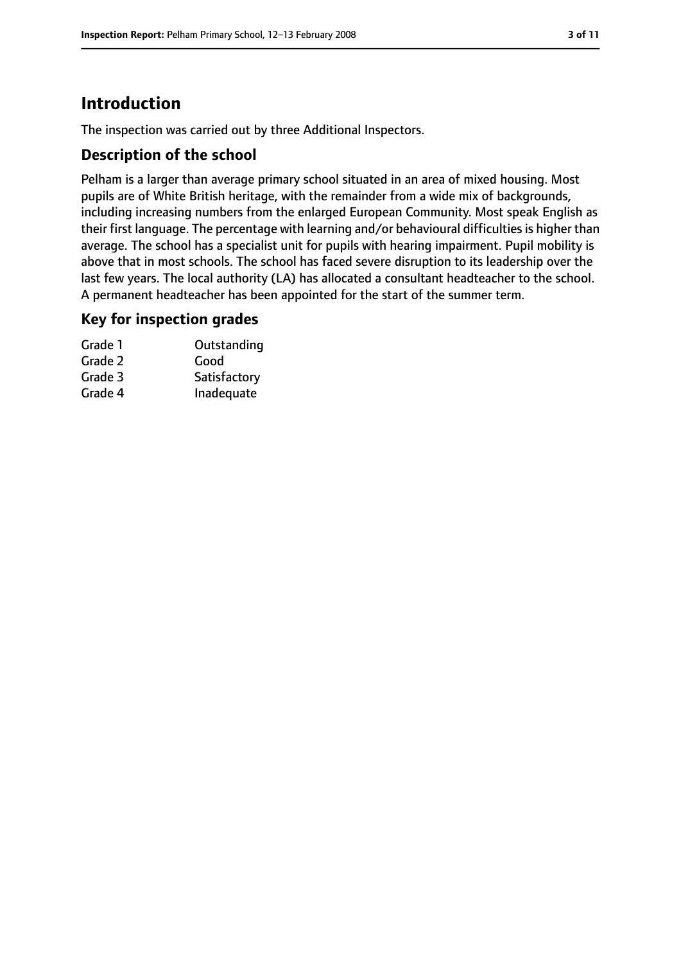### **Introduction**

The inspection was carried out by three Additional Inspectors.

#### **Description of the school**

Pelham is a larger than average primary school situated in an area of mixed housing. Most pupils are of White British heritage, with the remainder from a wide mix of backgrounds, including increasing numbers from the enlarged European Community. Most speak English as their first language. The percentage with learning and/or behavioural difficulties is higher than average. The school has a specialist unit for pupils with hearing impairment. Pupil mobility is above that in most schools. The school has faced severe disruption to its leadership over the last few years. The local authority (LA) has allocated a consultant headteacher to the school. A permanent headteacher has been appointed for the start of the summer term.

#### **Key for inspection grades**

| Grade 1 | Outstanding  |
|---------|--------------|
| Grade 2 | Good         |
| Grade 3 | Satisfactory |
| Grade 4 | Inadequate   |
|         |              |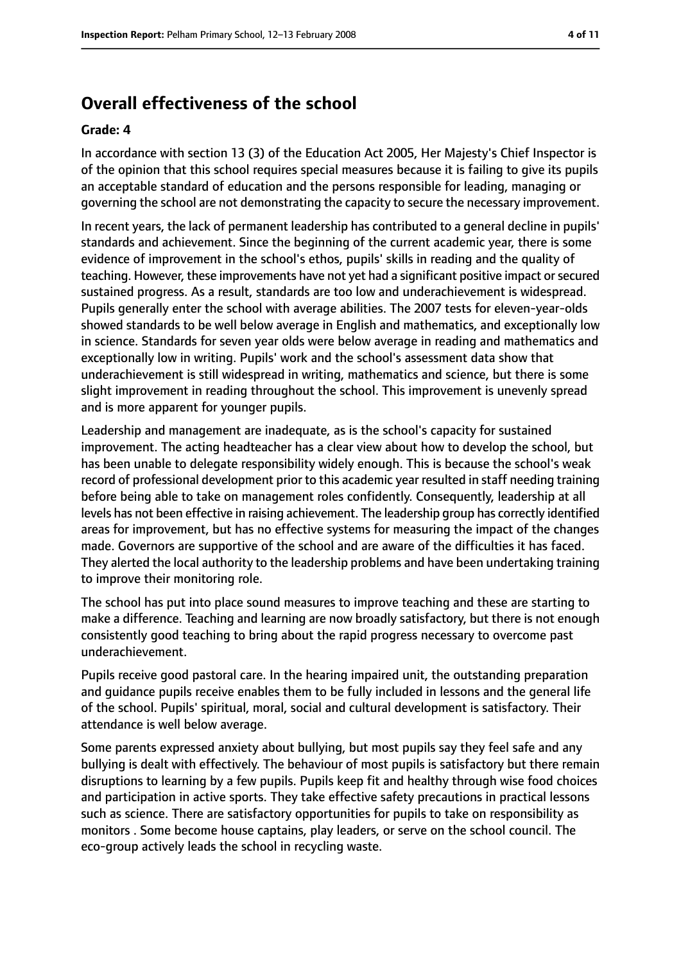### **Overall effectiveness of the school**

#### **Grade: 4**

In accordance with section 13 (3) of the Education Act 2005, Her Majesty's Chief Inspector is of the opinion that this school requires special measures because it is failing to give its pupils an acceptable standard of education and the persons responsible for leading, managing or governing the school are not demonstrating the capacity to secure the necessary improvement.

In recent years, the lack of permanent leadership has contributed to a general decline in pupils' standards and achievement. Since the beginning of the current academic year, there is some evidence of improvement in the school's ethos, pupils' skills in reading and the quality of teaching. However, these improvements have not yet had a significant positive impact orsecured sustained progress. As a result, standards are too low and underachievement is widespread. Pupils generally enter the school with average abilities. The 2007 tests for eleven-year-olds showed standards to be well below average in English and mathematics, and exceptionally low in science. Standards for seven year olds were below average in reading and mathematics and exceptionally low in writing. Pupils' work and the school's assessment data show that underachievement is still widespread in writing, mathematics and science, but there is some slight improvement in reading throughout the school. This improvement is unevenly spread and is more apparent for younger pupils.

Leadership and management are inadequate, as is the school's capacity for sustained improvement. The acting headteacher has a clear view about how to develop the school, but has been unable to delegate responsibility widely enough. This is because the school's weak record of professional development prior to this academic year resulted in staff needing training before being able to take on management roles confidently. Consequently, leadership at all levels has not been effective in raising achievement. The leadership group has correctly identified areas for improvement, but has no effective systems for measuring the impact of the changes made. Governors are supportive of the school and are aware of the difficulties it has faced. They alerted the local authority to the leadership problems and have been undertaking training to improve their monitoring role.

The school has put into place sound measures to improve teaching and these are starting to make a difference. Teaching and learning are now broadly satisfactory, but there is not enough consistently good teaching to bring about the rapid progress necessary to overcome past underachievement.

Pupils receive good pastoral care. In the hearing impaired unit, the outstanding preparation and guidance pupils receive enables them to be fully included in lessons and the general life of the school. Pupils' spiritual, moral, social and cultural development is satisfactory. Their attendance is well below average.

Some parents expressed anxiety about bullying, but most pupils say they feel safe and any bullying is dealt with effectively. The behaviour of most pupils is satisfactory but there remain disruptions to learning by a few pupils. Pupils keep fit and healthy through wise food choices and participation in active sports. They take effective safety precautions in practical lessons such as science. There are satisfactory opportunities for pupils to take on responsibility as monitors . Some become house captains, play leaders, or serve on the school council. The eco-group actively leads the school in recycling waste.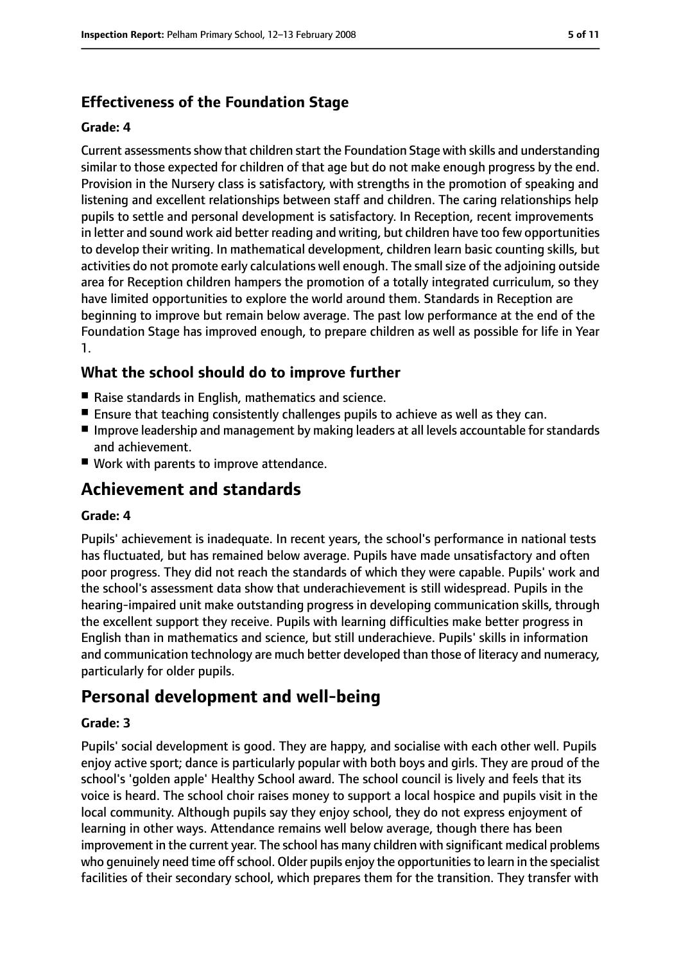## **Effectiveness of the Foundation Stage**

#### **Grade: 4**

Current assessments show that children start the Foundation Stage with skills and understanding similar to those expected for children of that age but do not make enough progress by the end. Provision in the Nursery class is satisfactory, with strengths in the promotion of speaking and listening and excellent relationships between staff and children. The caring relationships help pupils to settle and personal development is satisfactory. In Reception, recent improvements in letter and sound work aid better reading and writing, but children have too few opportunities to develop their writing. In mathematical development, children learn basic counting skills, but activities do not promote early calculations well enough. The small size of the adjoining outside area for Reception children hampers the promotion of a totally integrated curriculum, so they have limited opportunities to explore the world around them. Standards in Reception are beginning to improve but remain below average. The past low performance at the end of the Foundation Stage has improved enough, to prepare children as well as possible for life in Year 1.

#### **What the school should do to improve further**

- Raise standards in English, mathematics and science.
- Ensure that teaching consistently challenges pupils to achieve as well as they can.
- Improve leadership and management by making leaders at all levels accountable for standards and achievement.
- Work with parents to improve attendance.

### **Achievement and standards**

#### **Grade: 4**

Pupils' achievement is inadequate. In recent years, the school's performance in national tests has fluctuated, but has remained below average. Pupils have made unsatisfactory and often poor progress. They did not reach the standards of which they were capable. Pupils' work and the school's assessment data show that underachievement is still widespread. Pupils in the hearing-impaired unit make outstanding progress in developing communication skills, through the excellent support they receive. Pupils with learning difficulties make better progress in English than in mathematics and science, but still underachieve. Pupils' skills in information and communication technology are much better developed than those of literacy and numeracy, particularly for older pupils.

### **Personal development and well-being**

#### **Grade: 3**

Pupils' social development is good. They are happy, and socialise with each other well. Pupils enjoy active sport; dance is particularly popular with both boys and girls. They are proud of the school's 'golden apple' Healthy School award. The school council is lively and feels that its voice is heard. The school choir raises money to support a local hospice and pupils visit in the local community. Although pupils say they enjoy school, they do not express enjoyment of learning in other ways. Attendance remains well below average, though there has been improvement in the current year. The school has many children with significant medical problems who genuinely need time off school. Older pupils enjoy the opportunities to learn in the specialist facilities of their secondary school, which prepares them for the transition. They transfer with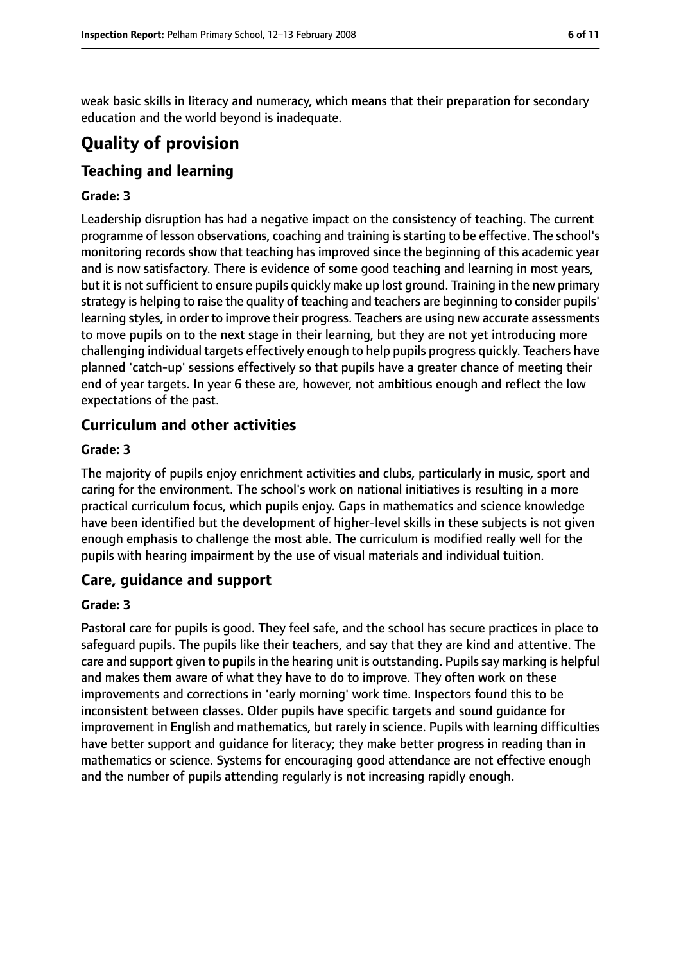weak basic skills in literacy and numeracy, which means that their preparation for secondary education and the world beyond is inadequate.

### **Quality of provision**

### **Teaching and learning**

#### **Grade: 3**

Leadership disruption has had a negative impact on the consistency of teaching. The current programme of lesson observations, coaching and training is starting to be effective. The school's monitoring records show that teaching has improved since the beginning of this academic year and is now satisfactory. There is evidence of some good teaching and learning in most years, but it is not sufficient to ensure pupils quickly make up lost ground. Training in the new primary strategy is helping to raise the quality of teaching and teachers are beginning to consider pupils' learning styles, in order to improve their progress. Teachers are using new accurate assessments to move pupils on to the next stage in their learning, but they are not yet introducing more challenging individual targets effectively enough to help pupils progress quickly. Teachers have planned 'catch-up' sessions effectively so that pupils have a greater chance of meeting their end of year targets. In year 6 these are, however, not ambitious enough and reflect the low expectations of the past.

#### **Curriculum and other activities**

#### **Grade: 3**

The majority of pupils enjoy enrichment activities and clubs, particularly in music, sport and caring for the environment. The school's work on national initiatives is resulting in a more practical curriculum focus, which pupils enjoy. Gaps in mathematics and science knowledge have been identified but the development of higher-level skills in these subjects is not given enough emphasis to challenge the most able. The curriculum is modified really well for the pupils with hearing impairment by the use of visual materials and individual tuition.

#### **Care, guidance and support**

#### **Grade: 3**

Pastoral care for pupils is good. They feel safe, and the school has secure practices in place to safeguard pupils. The pupils like their teachers, and say that they are kind and attentive. The care and support given to pupils in the hearing unit is outstanding. Pupils say marking is helpful and makes them aware of what they have to do to improve. They often work on these improvements and corrections in 'early morning' work time. Inspectors found this to be inconsistent between classes. Older pupils have specific targets and sound guidance for improvement in English and mathematics, but rarely in science. Pupils with learning difficulties have better support and guidance for literacy; they make better progress in reading than in mathematics or science. Systems for encouraging good attendance are not effective enough and the number of pupils attending regularly is not increasing rapidly enough.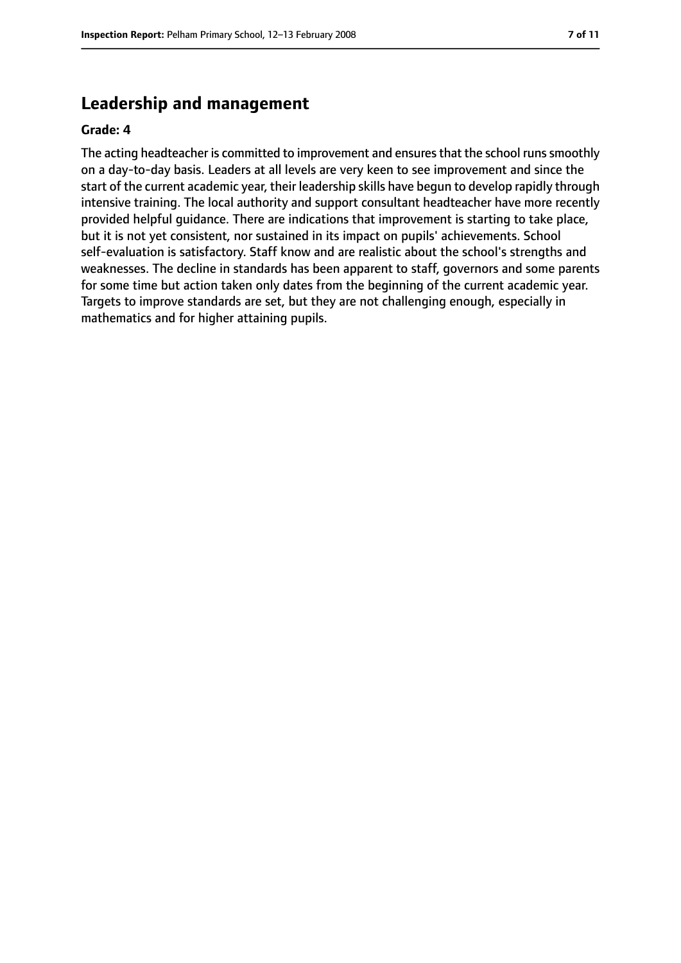#### **Leadership and management**

#### **Grade: 4**

The acting headteacher is committed to improvement and ensures that the school runs smoothly on a day-to-day basis. Leaders at all levels are very keen to see improvement and since the start of the current academic year, their leadership skills have begun to develop rapidly through intensive training. The local authority and support consultant headteacher have more recently provided helpful guidance. There are indications that improvement is starting to take place, but it is not yet consistent, nor sustained in its impact on pupils' achievements. School self-evaluation is satisfactory. Staff know and are realistic about the school's strengths and weaknesses. The decline in standards has been apparent to staff, governors and some parents for some time but action taken only dates from the beginning of the current academic year. Targets to improve standards are set, but they are not challenging enough, especially in mathematics and for higher attaining pupils.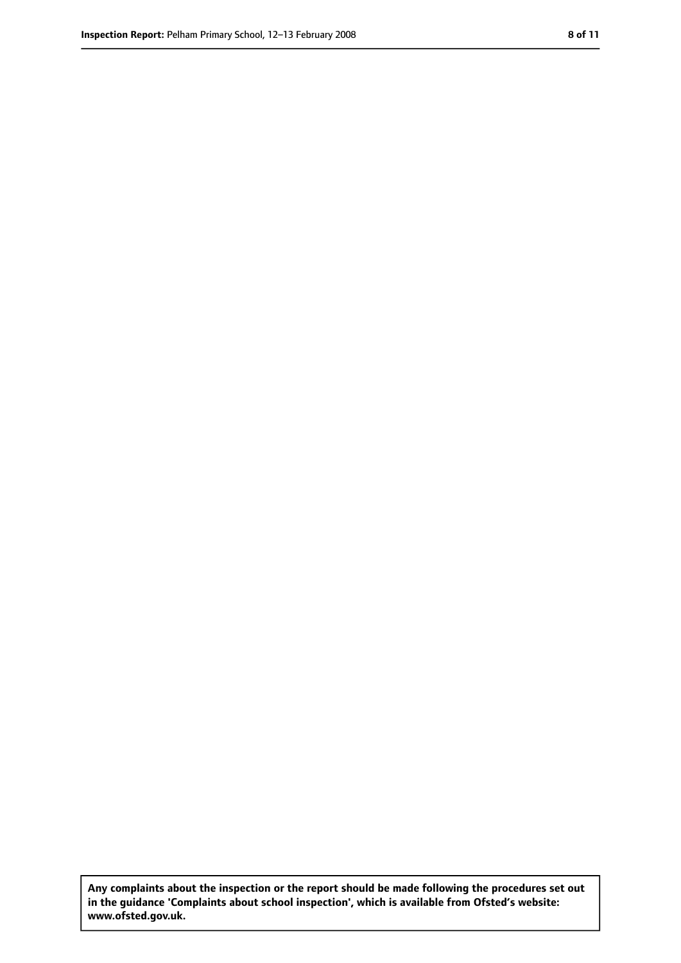**Any complaints about the inspection or the report should be made following the procedures set out in the guidance 'Complaints about school inspection', which is available from Ofsted's website: www.ofsted.gov.uk.**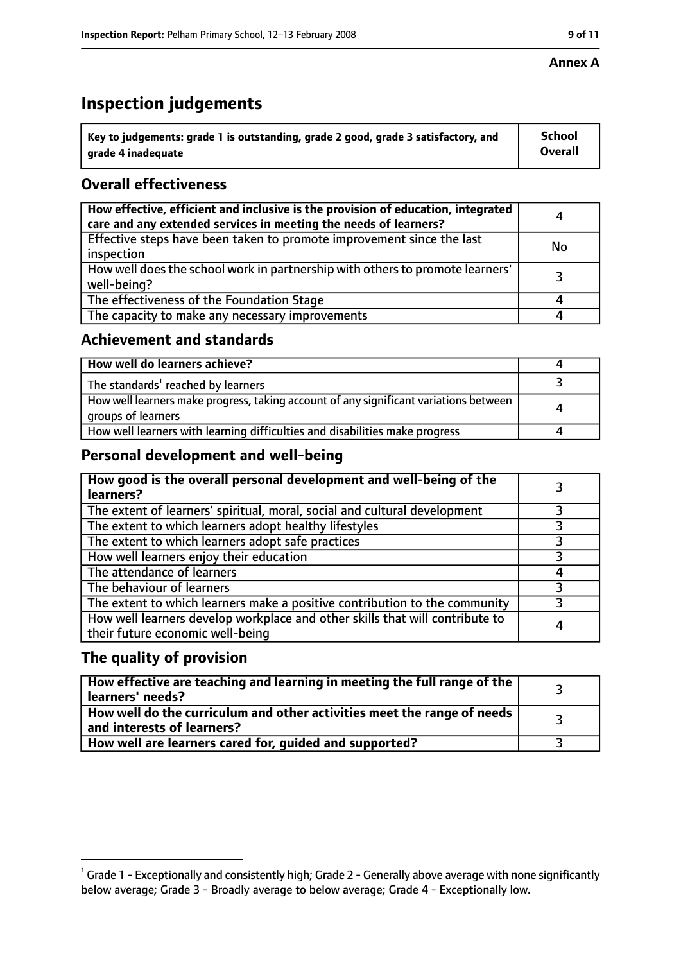#### **Annex A**

### **Inspection judgements**

| $^{\backprime}$ Key to judgements: grade 1 is outstanding, grade 2 good, grade 3 satisfactory, and | <b>School</b>  |
|----------------------------------------------------------------------------------------------------|----------------|
| arade 4 inadequate                                                                                 | <b>Overall</b> |

### **Overall effectiveness**

| How effective, efficient and inclusive is the provision of education, integrated<br>care and any extended services in meeting the needs of learners? | 4  |
|------------------------------------------------------------------------------------------------------------------------------------------------------|----|
| Effective steps have been taken to promote improvement since the last<br>inspection                                                                  | No |
| How well does the school work in partnership with others to promote learners'<br>well-being?                                                         |    |
| The effectiveness of the Foundation Stage                                                                                                            |    |
| The capacity to make any necessary improvements                                                                                                      |    |

#### **Achievement and standards**

| How well do learners achieve?                                                                               |  |
|-------------------------------------------------------------------------------------------------------------|--|
| The standards <sup>1</sup> reached by learners                                                              |  |
| How well learners make progress, taking account of any significant variations between<br>groups of learners |  |
| How well learners with learning difficulties and disabilities make progress                                 |  |

#### **Personal development and well-being**

| How good is the overall personal development and well-being of the<br>learners?                                  |  |
|------------------------------------------------------------------------------------------------------------------|--|
| The extent of learners' spiritual, moral, social and cultural development                                        |  |
| The extent to which learners adopt healthy lifestyles                                                            |  |
| The extent to which learners adopt safe practices                                                                |  |
| How well learners enjoy their education                                                                          |  |
| The attendance of learners                                                                                       |  |
| The behaviour of learners                                                                                        |  |
| The extent to which learners make a positive contribution to the community                                       |  |
| How well learners develop workplace and other skills that will contribute to<br>their future economic well-being |  |

#### **The quality of provision**

| How effective are teaching and learning in meeting the full range of the<br>learners' needs?          |  |
|-------------------------------------------------------------------------------------------------------|--|
| How well do the curriculum and other activities meet the range of needs<br>and interests of learners? |  |
| How well are learners cared for, guided and supported?                                                |  |

 $^1$  Grade 1 - Exceptionally and consistently high; Grade 2 - Generally above average with none significantly below average; Grade 3 - Broadly average to below average; Grade 4 - Exceptionally low.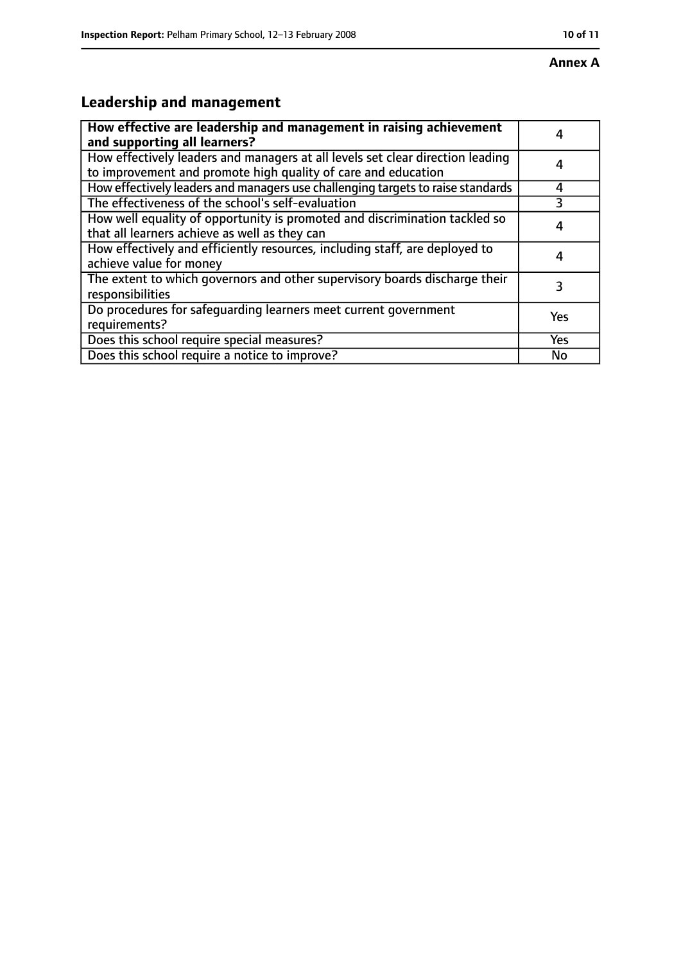### **Annex A**

### **Leadership and management**

| How effective are leadership and management in raising achievement<br>and supporting all learners?                                              |            |
|-------------------------------------------------------------------------------------------------------------------------------------------------|------------|
| How effectively leaders and managers at all levels set clear direction leading<br>to improvement and promote high quality of care and education |            |
| How effectively leaders and managers use challenging targets to raise standards                                                                 | 4          |
| The effectiveness of the school's self-evaluation                                                                                               |            |
| How well equality of opportunity is promoted and discrimination tackled so<br>that all learners achieve as well as they can                     |            |
| How effectively and efficiently resources, including staff, are deployed to<br>achieve value for money                                          |            |
| The extent to which governors and other supervisory boards discharge their<br>responsibilities                                                  | 3          |
| Do procedures for safequarding learners meet current government<br>requirements?                                                                | Yes        |
| Does this school require special measures?                                                                                                      | <b>Yes</b> |
| Does this school require a notice to improve?                                                                                                   | No         |